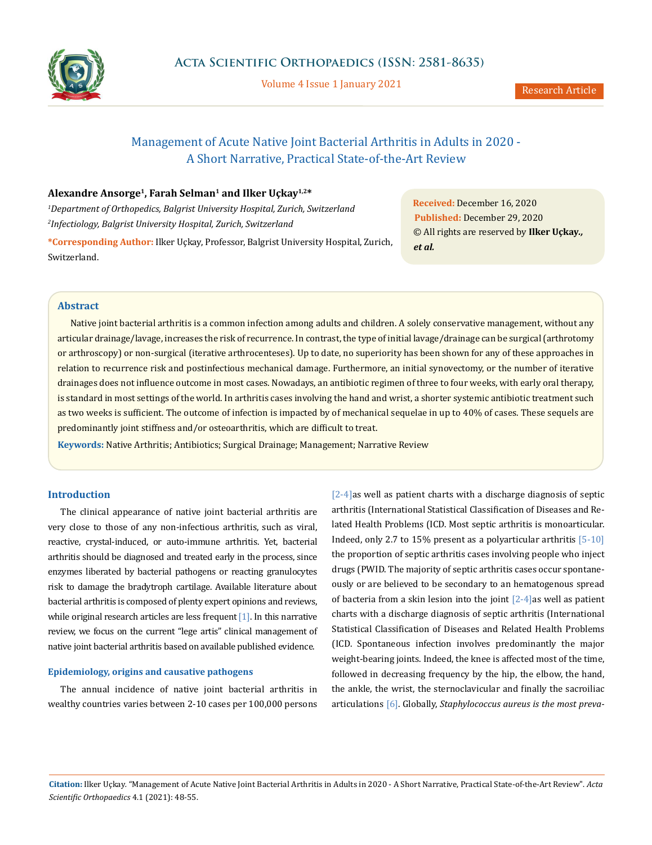

Volume 4 Issue 1 January 2021

# Management of Acute Native Joint Bacterial Arthritis in Adults in 2020 - A Short Narrative, Practical State-of-the-Art Review

# **Alexandre Ansorge1, Farah Selman1 and Ilker Uçkay1,2\***

*1 Department of Orthopedics, Balgrist University Hospital, Zurich, Switzerland 2 Infectiology, Balgrist University Hospital, Zurich, Switzerland*

**\*Corresponding Author:** Ilker Uçkay, Professor, Balgrist University Hospital, Zurich, Switzerland.

**Received:** December 16, 2020 **Published:** December 29, 2020 © All rights are reserved by **Ilker Uçkay***., et al.*

# **Abstract**

Native joint bacterial arthritis is a common infection among adults and children. A solely conservative management, without any articular drainage/lavage, increases the risk of recurrence. In contrast, the type of initial lavage/drainage can be surgical (arthrotomy or arthroscopy) or non-surgical (iterative arthrocenteses). Up to date, no superiority has been shown for any of these approaches in relation to recurrence risk and postinfectious mechanical damage. Furthermore, an initial synovectomy, or the number of iterative drainages does not influence outcome in most cases. Nowadays, an antibiotic regimen of three to four weeks, with early oral therapy, is standard in most settings of the world. In arthritis cases involving the hand and wrist, a shorter systemic antibiotic treatment such as two weeks is sufficient. The outcome of infection is impacted by of mechanical sequelae in up to 40% of cases. These sequels are predominantly joint stiffness and/or osteoarthritis, which are difficult to treat.

**Keywords:** Native Arthritis; Antibiotics; Surgical Drainage; Management; Narrative Review

# **Introduction**

The clinical appearance of native joint bacterial arthritis are very close to those of any non-infectious arthritis, such as viral, reactive, crystal-induced, or auto-immune arthritis. Yet, bacterial arthritis should be diagnosed and treated early in the process, since enzymes liberated by bacterial pathogens or reacting granulocytes risk to damage the bradytroph cartilage. Available literature about bacterial arthritis is composed of plenty expert opinions and reviews, while original research articles are less frequent  $[1]$ . In this narrative review, we focus on the current "lege artis" clinical management of native joint bacterial arthritis based on available published evidence.

## **Epidemiology, origins and causative pathogens**

The annual incidence of native joint bacterial arthritis in wealthy countries varies between 2-10 cases per 100,000 persons [2-4]as well as patient charts with a discharge diagnosis of septic arthritis (International Statistical Classification of Diseases and Related Health Problems (ICD. Most septic arthritis is monoarticular. Indeed, only 2.7 to 15% present as a polyarticular arthritis [5-10] the proportion of septic arthritis cases involving people who inject drugs (PWID. The majority of septic arthritis cases occur spontaneously or are believed to be secondary to an hematogenous spread of bacteria from a skin lesion into the joint  $[2-4]$ as well as patient charts with a discharge diagnosis of septic arthritis (International Statistical Classification of Diseases and Related Health Problems (ICD. Spontaneous infection involves predominantly the major weight-bearing joints. Indeed, the knee is affected most of the time, followed in decreasing frequency by the hip, the elbow, the hand, the ankle, the wrist, the sternoclavicular and finally the sacroiliac articulations [6]. Globally, *Staphylococcus aureus is the most preva-*

**Citation:** Ilker Uçkay*.* "Management of Acute Native Joint Bacterial Arthritis in Adults in 2020 - A Short Narrative, Practical State-of-the-Art Review". *Acta Scientific Orthopaedics* 4.1 (2021): 48-55.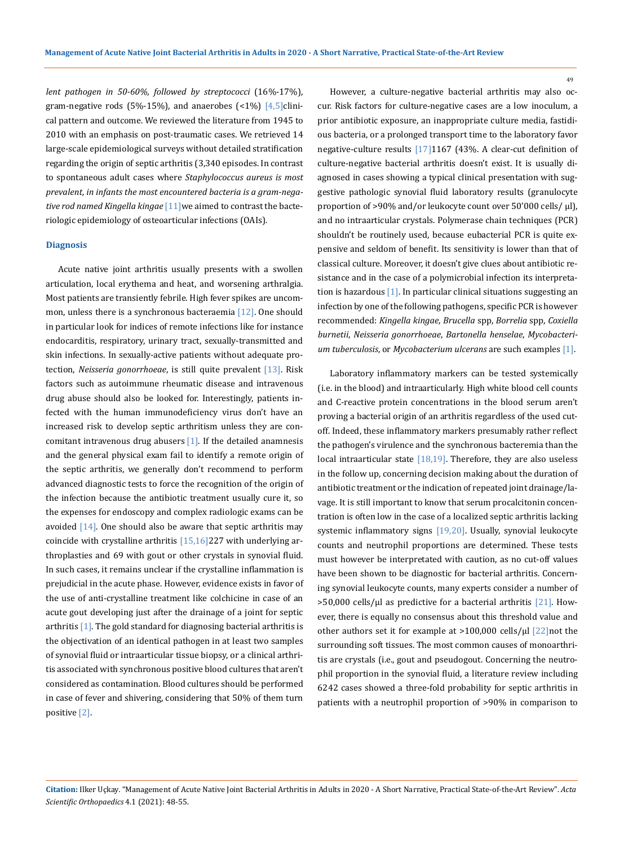*lent pathogen in 50-60%, followed by streptococci* (16%-17%), gram-negative rods (5%-15%), and anaerobes  $($  < 1%)  $[$ 4,5]clinical pattern and outcome. We reviewed the literature from 1945 to 2010 with an emphasis on post-traumatic cases. We retrieved 14 large-scale epidemiological surveys without detailed stratification regarding the origin of septic arthritis (3,340 episodes. In contrast to spontaneous adult cases where *Staphylococcus aureus is most prevalent, in infants the most encountered bacteria is a gram-negative rod named Kingella kingae* [11]we aimed to contrast the bacteriologic epidemiology of osteoarticular infections (OAIs)*.* 

## **Diagnosis**

Acute native joint arthritis usually presents with a swollen articulation, local erythema and heat, and worsening arthralgia. Most patients are transiently febrile. High fever spikes are uncommon, unless there is a synchronous bacteraemia [12]. One should in particular look for indices of remote infections like for instance endocarditis, respiratory, urinary tract, sexually-transmitted and skin infections. In sexually-active patients without adequate protection, *Neisseria gonorrhoeae*, is still quite prevalent [13]. Risk factors such as autoimmune rheumatic disease and intravenous drug abuse should also be looked for. Interestingly, patients infected with the human immunodeficiency virus don't have an increased risk to develop septic arthritism unless they are concomitant intravenous drug abusers [1]. If the detailed anamnesis and the general physical exam fail to identify a remote origin of the septic arthritis, we generally don't recommend to perform advanced diagnostic tests to force the recognition of the origin of the infection because the antibiotic treatment usually cure it, so the expenses for endoscopy and complex radiologic exams can be avoided [14]. One should also be aware that septic arthritis may coincide with crystalline arthritis [15,16]227 with underlying arthroplasties and 69 with gout or other crystals in synovial fluid. In such cases, it remains unclear if the crystalline inflammation is prejudicial in the acute phase. However, evidence exists in favor of the use of anti-crystalline treatment like colchicine in case of an acute gout developing just after the drainage of a joint for septic arthritis [1]. The gold standard for diagnosing bacterial arthritis is the objectivation of an identical pathogen in at least two samples of synovial fluid or intraarticular tissue biopsy, or a clinical arthritis associated with synchronous positive blood cultures that aren't considered as contamination. Blood cultures should be performed in case of fever and shivering, considering that 50% of them turn positive [2].

However, a culture-negative bacterial arthritis may also occur. Risk factors for culture-negative cases are a low inoculum, a prior antibiotic exposure, an inappropriate culture media, fastidious bacteria, or a prolonged transport time to the laboratory favor negative-culture results [17]1167 (43%. A clear-cut definition of culture-negative bacterial arthritis doesn't exist. It is usually diagnosed in cases showing a typical clinical presentation with suggestive pathologic synovial fluid laboratory results (granulocyte proportion of >90% and/or leukocyte count over 50'000 cells/  $\mu$ l), and no intraarticular crystals. Polymerase chain techniques (PCR) shouldn't be routinely used, because eubacterial PCR is quite expensive and seldom of benefit. Its sensitivity is lower than that of classical culture. Moreover, it doesn't give clues about antibiotic resistance and in the case of a polymicrobial infection its interpretation is hazardous [1]. In particular clinical situations suggesting an infection by one of the following pathogens, specific PCR is however recommended: *Kingella kingae*, *Brucella* spp, *Borrelia* spp, *Coxiella burnetii*, *Neisseria gonorrhoeae*, *Bartonella henselae*, *Mycobacterium tuberculosis*, or *Mycobacterium ulcerans* are such examples [1].

Laboratory inflammatory markers can be tested systemically (i.e. in the blood) and intraarticularly. High white blood cell counts and C-reactive protein concentrations in the blood serum aren't proving a bacterial origin of an arthritis regardless of the used cutoff. Indeed, these inflammatory markers presumably rather reflect the pathogen's virulence and the synchronous bacteremia than the local intraarticular state [18,19]. Therefore, they are also useless in the follow up, concerning decision making about the duration of antibiotic treatment or the indication of repeated joint drainage/lavage. It is still important to know that serum procalcitonin concentration is often low in the case of a localized septic arthritis lacking systemic inflammatory signs [19,20]. Usually, synovial leukocyte counts and neutrophil proportions are determined. These tests must however be interpretated with caution, as no cut-off values have been shown to be diagnostic for bacterial arthritis. Concerning synovial leukocyte counts, many experts consider a number of  $>50,000$  cells/ $\mu$ l as predictive for a bacterial arthritis [21]. However, there is equally no consensus about this threshold value and other authors set it for example at >100,000 cells/µl [22]not the surrounding soft tissues. The most common causes of monoarthritis are crystals (i.e., gout and pseudogout. Concerning the neutrophil proportion in the synovial fluid, a literature review including 6242 cases showed a three-fold probability for septic arthritis in patients with a neutrophil proportion of >90% in comparison to

**Citation:** Ilker Uçkay*.* "Management of Acute Native Joint Bacterial Arthritis in Adults in 2020 - A Short Narrative, Practical State-of-the-Art Review". *Acta Scientific Orthopaedics* 4.1 (2021): 48-55.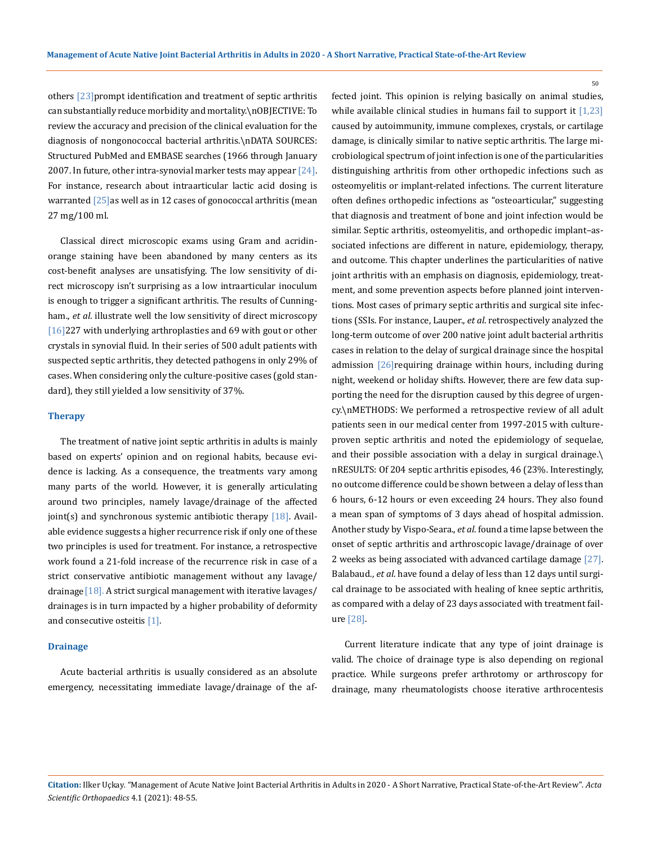others [23]prompt identification and treatment of septic arthritis can substantially reduce morbidity and mortality.\nOBJECTIVE: To review the accuracy and precision of the clinical evaluation for the diagnosis of nongonococcal bacterial arthritis.\nDATA SOURCES: Structured PubMed and EMBASE searches (1966 through January 2007. In future, other intra-synovial marker tests may appear [24]. For instance, research about intraarticular lactic acid dosing is warranted [25] as well as in 12 cases of gonococcal arthritis (mean 27 mg/100 ml.

Classical direct microscopic exams using Gram and acridinorange staining have been abandoned by many centers as its cost-benefit analyses are unsatisfying. The low sensitivity of direct microscopy isn't surprising as a low intraarticular inoculum is enough to trigger a significant arthritis. The results of Cunningham., *et al*. illustrate well the low sensitivity of direct microscopy [16]227 with underlying arthroplasties and 69 with gout or other crystals in synovial fluid. In their series of 500 adult patients with suspected septic arthritis, they detected pathogens in only 29% of cases. When considering only the culture-positive cases (gold standard), they still yielded a low sensitivity of 37%.

#### **Therapy**

The treatment of native joint septic arthritis in adults is mainly based on experts' opinion and on regional habits, because evidence is lacking. As a consequence, the treatments vary among many parts of the world. However, it is generally articulating around two principles, namely lavage/drainage of the affected joint(s) and synchronous systemic antibiotic therapy  $[18]$ . Available evidence suggests a higher recurrence risk if only one of these two principles is used for treatment. For instance, a retrospective work found a 21-fold increase of the recurrence risk in case of a strict conservative antibiotic management without any lavage/ drainage  $[18]$ . A strict surgical management with iterative lavages/ drainages is in turn impacted by a higher probability of deformity and consecutive osteitis [1].

#### **Drainage**

Acute bacterial arthritis is usually considered as an absolute emergency, necessitating immediate lavage/drainage of the affected joint. This opinion is relying basically on animal studies, while available clinical studies in humans fail to support it [1,23] caused by autoimmunity, immune complexes, crystals, or cartilage damage, is clinically similar to native septic arthritis. The large microbiological spectrum of joint infection is one of the particularities distinguishing arthritis from other orthopedic infections such as osteomyelitis or implant-related infections. The current literature often defines orthopedic infections as "osteoarticular," suggesting that diagnosis and treatment of bone and joint infection would be similar. Septic arthritis, osteomyelitis, and orthopedic implant–associated infections are different in nature, epidemiology, therapy, and outcome. This chapter underlines the particularities of native joint arthritis with an emphasis on diagnosis, epidemiology, treatment, and some prevention aspects before planned joint interventions. Most cases of primary septic arthritis and surgical site infections (SSIs. For instance, Lauper., *et al*. retrospectively analyzed the long-term outcome of over 200 native joint adult bacterial arthritis cases in relation to the delay of surgical drainage since the hospital admission [26]requiring drainage within hours, including during night, weekend or holiday shifts. However, there are few data supporting the need for the disruption caused by this degree of urgency.\nMETHODS: We performed a retrospective review of all adult patients seen in our medical center from 1997-2015 with cultureproven septic arthritis and noted the epidemiology of sequelae, and their possible association with a delay in surgical drainage.\ nRESULTS: Of 204 septic arthritis episodes, 46 (23%. Interestingly, no outcome difference could be shown between a delay of less than 6 hours, 6-12 hours or even exceeding 24 hours. They also found a mean span of symptoms of 3 days ahead of hospital admission. Another study by Vispo-Seara., *et al*. found a time lapse between the onset of septic arthritis and arthroscopic lavage/drainage of over 2 weeks as being associated with advanced cartilage damage [27]. Balabaud., *et al*. have found a delay of less than 12 days until surgical drainage to be associated with healing of knee septic arthritis, as compared with a delay of 23 days associated with treatment failure [28].

Current literature indicate that any type of joint drainage is valid. The choice of drainage type is also depending on regional practice. While surgeons prefer arthrotomy or arthroscopy for drainage, many rheumatologists choose iterative arthrocentesis

**Citation:** Ilker Uçkay*.* "Management of Acute Native Joint Bacterial Arthritis in Adults in 2020 - A Short Narrative, Practical State-of-the-Art Review". *Acta Scientific Orthopaedics* 4.1 (2021): 48-55.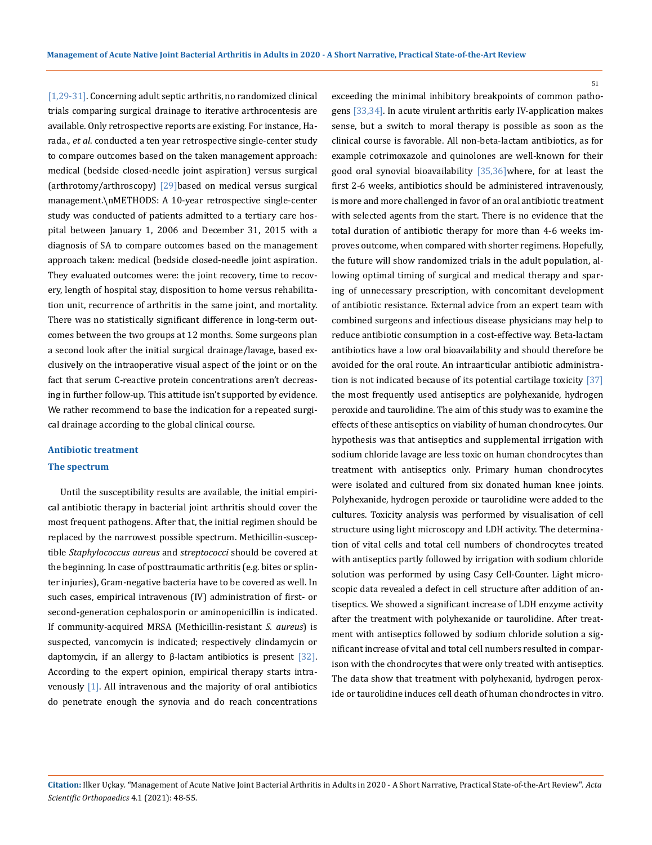[1,29-31]. Concerning adult septic arthritis, no randomized clinical trials comparing surgical drainage to iterative arthrocentesis are available. Only retrospective reports are existing. For instance, Harada., *et al*. conducted a ten year retrospective single-center study to compare outcomes based on the taken management approach: medical (bedside closed-needle joint aspiration) versus surgical (arthrotomy/arthroscopy) [29]based on medical versus surgical management.\nMETHODS: A 10-year retrospective single-center study was conducted of patients admitted to a tertiary care hospital between January 1, 2006 and December 31, 2015 with a diagnosis of SA to compare outcomes based on the management approach taken: medical (bedside closed-needle joint aspiration. They evaluated outcomes were: the joint recovery, time to recovery, length of hospital stay, disposition to home versus rehabilitation unit, recurrence of arthritis in the same joint, and mortality. There was no statistically significant difference in long-term outcomes between the two groups at 12 months. Some surgeons plan a second look after the initial surgical drainage/lavage, based exclusively on the intraoperative visual aspect of the joint or on the fact that serum C-reactive protein concentrations aren't decreasing in further follow-up. This attitude isn't supported by evidence. We rather recommend to base the indication for a repeated surgical drainage according to the global clinical course.

#### **Antibiotic treatment**

#### **The spectrum**

Until the susceptibility results are available, the initial empirical antibiotic therapy in bacterial joint arthritis should cover the most frequent pathogens. After that, the initial regimen should be replaced by the narrowest possible spectrum. Methicillin-susceptible *Staphylococcus aureus* and *streptococci* should be covered at the beginning. In case of posttraumatic arthritis (e.g. bites or splinter injuries), Gram-negative bacteria have to be covered as well. In such cases, empirical intravenous (IV) administration of first- or second-generation cephalosporin or aminopenicillin is indicated. If community-acquired MRSA (Methicillin-resistant *S. aureus*) is suspected, vancomycin is indicated; respectively clindamycin or daptomycin, if an allergy to β-lactam antibiotics is present [32]. According to the expert opinion, empirical therapy starts intravenously [1]. All intravenous and the majority of oral antibiotics do penetrate enough the synovia and do reach concentrations

exceeding the minimal inhibitory breakpoints of common pathogens [33,34]. In acute virulent arthritis early IV-application makes sense, but a switch to moral therapy is possible as soon as the clinical course is favorable. All non-beta-lactam antibiotics, as for example cotrimoxazole and quinolones are well-known for their good oral synovial bioavailability [35,36]where, for at least the first 2-6 weeks, antibiotics should be administered intravenously, is more and more challenged in favor of an oral antibiotic treatment with selected agents from the start. There is no evidence that the total duration of antibiotic therapy for more than 4-6 weeks improves outcome, when compared with shorter regimens. Hopefully, the future will show randomized trials in the adult population, allowing optimal timing of surgical and medical therapy and sparing of unnecessary prescription, with concomitant development of antibiotic resistance. External advice from an expert team with combined surgeons and infectious disease physicians may help to reduce antibiotic consumption in a cost-effective way. Beta-lactam antibiotics have a low oral bioavailability and should therefore be avoided for the oral route. An intraarticular antibiotic administration is not indicated because of its potential cartilage toxicity  $[37]$ the most frequently used antiseptics are polyhexanide, hydrogen peroxide and taurolidine. The aim of this study was to examine the effects of these antiseptics on viability of human chondrocytes. Our hypothesis was that antiseptics and supplemental irrigation with sodium chloride lavage are less toxic on human chondrocytes than treatment with antiseptics only. Primary human chondrocytes were isolated and cultured from six donated human knee joints. Polyhexanide, hydrogen peroxide or taurolidine were added to the cultures. Toxicity analysis was performed by visualisation of cell structure using light microscopy and LDH activity. The determination of vital cells and total cell numbers of chondrocytes treated with antiseptics partly followed by irrigation with sodium chloride solution was performed by using Casy Cell-Counter. Light microscopic data revealed a defect in cell structure after addition of antiseptics. We showed a significant increase of LDH enzyme activity after the treatment with polyhexanide or taurolidine. After treatment with antiseptics followed by sodium chloride solution a significant increase of vital and total cell numbers resulted in comparison with the chondrocytes that were only treated with antiseptics. The data show that treatment with polyhexanid, hydrogen peroxide or taurolidine induces cell death of human chondroctes in vitro.

**Citation:** Ilker Uçkay*.* "Management of Acute Native Joint Bacterial Arthritis in Adults in 2020 - A Short Narrative, Practical State-of-the-Art Review". *Acta Scientific Orthopaedics* 4.1 (2021): 48-55.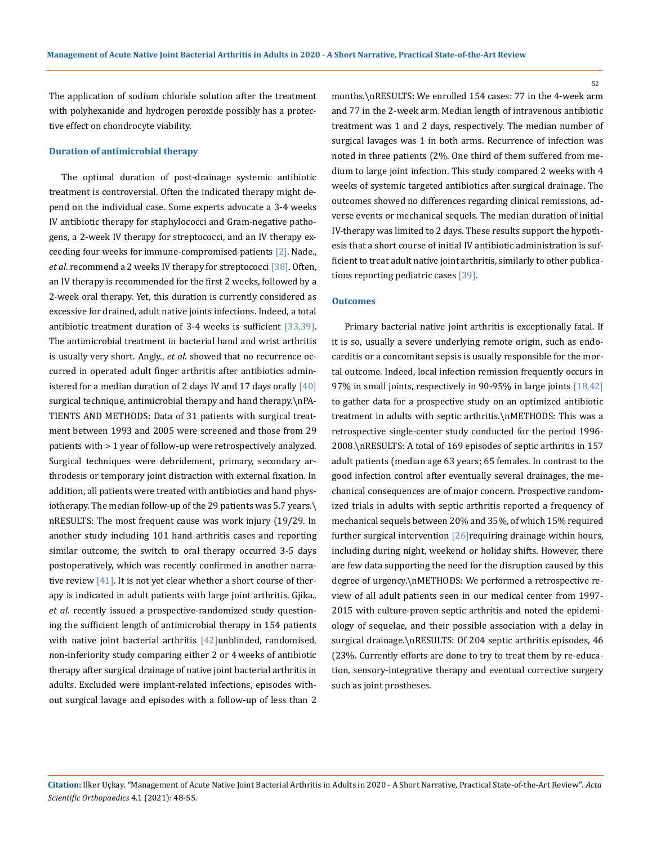The application of sodium chloride solution after the treatment with polyhexanide and hydrogen peroxide possibly has a protective effect on chondrocyte viability.

## **Duration of antimicrobial therapy**

The optimal duration of post-drainage systemic antibiotic treatment is controversial. Often the indicated therapy might depend on the individual case. Some experts advocate a 3-4 weeks IV antibiotic therapy for staphylococci and Gram-negative pathogens, a 2-week IV therapy for streptococci, and an IV therapy exceeding four weeks for immune-compromised patients [2]. Nade., *et al*. recommend a 2 weeks IV therapy for streptococci [38]. Often, an IV therapy is recommended for the first 2 weeks, followed by a 2-week oral therapy. Yet, this duration is currently considered as excessive for drained, adult native joints infections. Indeed, a total antibiotic treatment duration of 3-4 weeks is sufficient [33,39]. The antimicrobial treatment in bacterial hand and wrist arthritis is usually very short. Angly., *et al*. showed that no recurrence occurred in operated adult finger arthritis after antibiotics administered for a median duration of 2 days IV and 17 days orally  $[40]$ surgical technique, antimicrobial therapy and hand therapy.\nPA-TIENTS AND METHODS: Data of 31 patients with surgical treatment between 1993 and 2005 were screened and those from 29 patients with > 1 year of follow-up were retrospectively analyzed. Surgical techniques were debridement, primary, secondary arthrodesis or temporary joint distraction with external fixation. In addition, all patients were treated with antibiotics and hand physiotherapy. The median follow-up of the 29 patients was 5.7 years.\ nRESULTS: The most frequent cause was work injury (19/29. In another study including 101 hand arthritis cases and reporting similar outcome, the switch to oral therapy occurred 3-5 days postoperatively, which was recently confirmed in another narrative review  $[41]$ . It is not yet clear whether a short course of therapy is indicated in adult patients with large joint arthritis. Gjika., *et al*. recently issued a prospective-randomized study questioning the sufficient length of antimicrobial therapy in 154 patients with native joint bacterial arthritis [42]unblinded, randomised, non-inferiority study comparing either 2 or 4 weeks of antibiotic therapy after surgical drainage of native joint bacterial arthritis in adults. Excluded were implant-related infections, episodes without surgical lavage and episodes with a follow-up of less than 2

months.\nRESULTS: We enrolled 154 cases: 77 in the 4-week arm and 77 in the 2-week arm. Median length of intravenous antibiotic treatment was 1 and 2 days, respectively. The median number of surgical lavages was 1 in both arms. Recurrence of infection was noted in three patients (2%. One third of them suffered from medium to large joint infection. This study compared 2 weeks with 4 weeks of systemic targeted antibiotics after surgical drainage. The outcomes showed no differences regarding clinical remissions, adverse events or mechanical sequels. The median duration of initial IV-therapy was limited to 2 days. These results support the hypothesis that a short course of initial IV antibiotic administration is sufficient to treat adult native joint arthritis, similarly to other publications reporting pediatric cases [39].

#### **Outcomes**

Primary bacterial native joint arthritis is exceptionally fatal. If it is so, usually a severe underlying remote origin, such as endocarditis or a concomitant sepsis is usually responsible for the mortal outcome. Indeed, local infection remission frequently occurs in 97% in small joints, respectively in 90-95% in large joints [18,42] to gather data for a prospective study on an optimized antibiotic treatment in adults with septic arthritis.\nMETHODS: This was a retrospective single-center study conducted for the period 1996- 2008.\nRESULTS: A total of 169 episodes of septic arthritis in 157 adult patients (median age 63 years; 65 females. In contrast to the good infection control after eventually several drainages, the mechanical consequences are of major concern. Prospective randomized trials in adults with septic arthritis reported a frequency of mechanical sequels between 20% and 35%, of which 15% required further surgical intervention  $[26]$  requiring drainage within hours, including during night, weekend or holiday shifts. However, there are few data supporting the need for the disruption caused by this degree of urgency.\nMETHODS: We performed a retrospective review of all adult patients seen in our medical center from 1997- 2015 with culture-proven septic arthritis and noted the epidemiology of sequelae, and their possible association with a delay in surgical drainage.\nRESULTS: Of 204 septic arthritis episodes, 46 (23%. Currently efforts are done to try to treat them by re-education, sensory-integrative therapy and eventual corrective surgery such as joint prostheses.

**Citation:** Ilker Uçkay*.* "Management of Acute Native Joint Bacterial Arthritis in Adults in 2020 - A Short Narrative, Practical State-of-the-Art Review". *Acta Scientific Orthopaedics* 4.1 (2021): 48-55.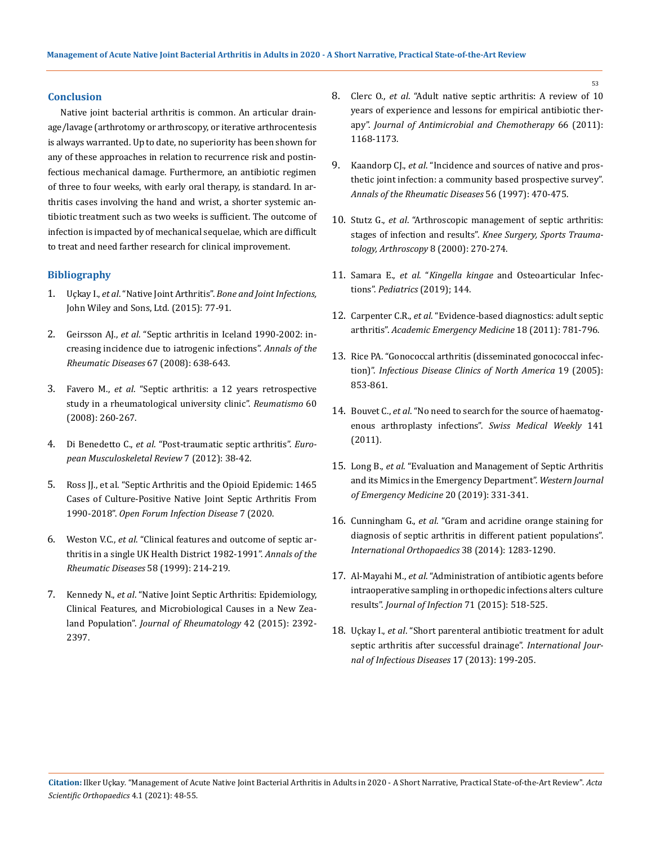## **Conclusion**

Native joint bacterial arthritis is common. An articular drainage/lavage (arthrotomy or arthroscopy, or iterative arthrocentesis is always warranted. Up to date, no superiority has been shown for any of these approaches in relation to recurrence risk and postinfectious mechanical damage. Furthermore, an antibiotic regimen of three to four weeks, with early oral therapy, is standard. In arthritis cases involving the hand and wrist, a shorter systemic antibiotic treatment such as two weeks is sufficient. The outcome of infection is impacted by of mechanical sequelae, which are difficult to treat and need farther research for clinical improvement.

## **Bibliography**

- 1. Uçkay I., *et al*. "Native Joint Arthritis". *Bone and Joint Infections,*  John Wiley and Sons, Ltd. (2015): 77-91.
- 2. Geirsson AJ., *et al*[. "Septic arthritis in Iceland 1990-2002: in](https://pubmed.ncbi.nlm.nih.gov/17901088/)[creasing incidence due to iatrogenic infections".](https://pubmed.ncbi.nlm.nih.gov/17901088/) *Annals of the [Rheumatic Diseases](https://pubmed.ncbi.nlm.nih.gov/17901088/)* 67 (2008): 638-643.
- 3. Favero M., *et al*[. "Septic arthritis: a 12 years retrospective](https://pubmed.ncbi.nlm.nih.gov/19132150/) [study in a rheumatological university clinic".](https://pubmed.ncbi.nlm.nih.gov/19132150/) *Reumatismo* 60 [\(2008\): 260-267.](https://pubmed.ncbi.nlm.nih.gov/19132150/)
- 4. Di Benedetto C., *et al*[. "Post-traumatic septic arthritis".](https://www.researchgate.net/publication/285983449_Post-traumatic_septic_arthritis) *Euro[pean Musculoskeletal Review](https://www.researchgate.net/publication/285983449_Post-traumatic_septic_arthritis)* 7 (2012): 38-42.
- 5. [Ross JJ., et al. "Septic Arthritis and the Opioid Epidemic: 1465](https://pubmed.ncbi.nlm.nih.gov/32258206/) [Cases of Culture-Positive Native Joint Septic Arthritis From](https://pubmed.ncbi.nlm.nih.gov/32258206/) 1990-2018". *[Open Forum Infection Disease](https://pubmed.ncbi.nlm.nih.gov/32258206/)* 7 (2020.
- 6. Weston V.C., *et al*[. "Clinical features and outcome of septic ar](https://www.ncbi.nlm.nih.gov/pmc/articles/PMC1752863/)[thritis in a single UK Health District 1982-1991".](https://www.ncbi.nlm.nih.gov/pmc/articles/PMC1752863/) *Annals of the [Rheumatic Diseases](https://www.ncbi.nlm.nih.gov/pmc/articles/PMC1752863/)* 58 (1999): 214-219.
- 7. Kennedy N., *et al*[. "Native Joint Septic Arthritis: Epidemiology,](https://pubmed.ncbi.nlm.nih.gov/26523022/) [Clinical Features, and Microbiological Causes in a New Zea](https://pubmed.ncbi.nlm.nih.gov/26523022/)land Population". *[Journal of Rheumatology](https://pubmed.ncbi.nlm.nih.gov/26523022/)* 42 (2015): 2392- [2397.](https://pubmed.ncbi.nlm.nih.gov/26523022/)
- 8. Clerc O., *et al*[. "Adult native septic arthritis: A review of 10](https://pubmed.ncbi.nlm.nih.gov/21393124/)  [years of experience and lessons for empirical antibiotic ther](https://pubmed.ncbi.nlm.nih.gov/21393124/)apy". *[Journal of Antimicrobial and Chemotherapy](https://pubmed.ncbi.nlm.nih.gov/21393124/)* 66 (2011): [1168-1173.](https://pubmed.ncbi.nlm.nih.gov/21393124/)
- 9. Kaandorp CJ., *et al*[. "Incidence and sources of native and pros](https://pubmed.ncbi.nlm.nih.gov/9306869/)[thetic joint infection: a community based prospective survey".](https://pubmed.ncbi.nlm.nih.gov/9306869/)  *[Annals of the Rheumatic Diseases](https://pubmed.ncbi.nlm.nih.gov/9306869/)* 56 (1997): 470-475.
- 10. Stutz G., *et al*[. "Arthroscopic management of septic arthritis:](https://pubmed.ncbi.nlm.nih.gov/11061294/)  stages of infection and results". *[Knee Surgery, Sports Trauma](https://pubmed.ncbi.nlm.nih.gov/11061294/)[tology, Arthroscopy](https://pubmed.ncbi.nlm.nih.gov/11061294/)* 8 (2000): 270-274.
- 11. Samara E., *et al*. "*Kingella kingae* and Osteoarticular Infections". *Pediatrics* (2019); 144.
- 12. Carpenter C.R., *et al*[. "Evidence-based diagnostics: adult septic](https://pubmed.ncbi.nlm.nih.gov/21843213/)  arthritis". *[Academic Emergency Medicine](https://pubmed.ncbi.nlm.nih.gov/21843213/)* 18 (2011): 781-796.
- 13. [Rice PA. "Gonococcal arthritis \(disseminated gonococcal infec](https://www.ncbi.nlm.nih.gov/books/NBK470439/)tion)". *[Infectious Disease Clinics of North America](https://www.ncbi.nlm.nih.gov/books/NBK470439/)* 19 (2005): [853-861.](https://www.ncbi.nlm.nih.gov/books/NBK470439/)
- 14. Bouvet C., *et al*[. "No need to search for the source of haematog](https://pubmed.ncbi.nlm.nih.gov/22180157/)[enous arthroplasty infections".](https://pubmed.ncbi.nlm.nih.gov/22180157/) *Swiss Medical Weekly* 141 [\(2011\).](https://pubmed.ncbi.nlm.nih.gov/22180157/)
- 15. Long B., *et al*[. "Evaluation and Management of Septic Arthritis](https://www.ncbi.nlm.nih.gov/pmc/articles/PMC6404712/)  [and its Mimics in the Emergency Department".](https://www.ncbi.nlm.nih.gov/pmc/articles/PMC6404712/) *Western Journal [of Emergency Medicine](https://www.ncbi.nlm.nih.gov/pmc/articles/PMC6404712/)* 20 (2019): 331-341.
- 16. Cunningham G., *et al*[. "Gram and acridine orange staining for](https://www.ncbi.nlm.nih.gov/pmc/articles/PMC4037514/)  [diagnosis of septic arthritis in different patient populations".](https://www.ncbi.nlm.nih.gov/pmc/articles/PMC4037514/)  *[International Orthopaedics](https://www.ncbi.nlm.nih.gov/pmc/articles/PMC4037514/)* 38 (2014): 1283-1290.
- 17. Al-Mayahi M., *et al*[. "Administration of antibiotic agents before](https://www.sciencedirect.com/science/article/abs/pii/S0163445315002534)  [intraoperative sampling in orthopedic infections alters culture](https://www.sciencedirect.com/science/article/abs/pii/S0163445315002534)  results". *[Journal of Infection](https://www.sciencedirect.com/science/article/abs/pii/S0163445315002534)* 71 (2015): 518-525.
- 18. Uçkay I., *et al*[. "Short parenteral antibiotic treatment for adult](https://www.sciencedirect.com/science/article/pii/S120197121201274X)  [septic arthritis after successful drainage".](https://www.sciencedirect.com/science/article/pii/S120197121201274X) *International Jour[nal of Infectious Diseases](https://www.sciencedirect.com/science/article/pii/S120197121201274X)* 17 (2013): 199-205.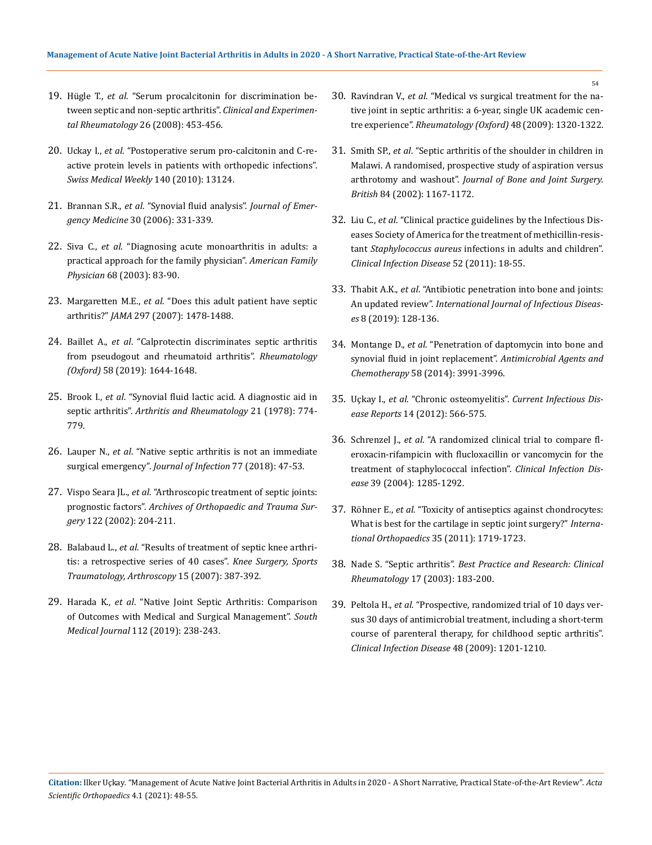- 19. Hügle T., *et al*[. "Serum procalcitonin for discrimination be](https://pubmed.ncbi.nlm.nih.gov/18578968/)[tween septic and non-septic arthritis".](https://pubmed.ncbi.nlm.nih.gov/18578968/) *Clinical and Experimental Rheumatology* [26 \(2008\): 453-456.](https://pubmed.ncbi.nlm.nih.gov/18578968/)
- 20. Uckay I., *et al*[. "Postoperative serum pro-calcitonin and C-re](https://pubmed.ncbi.nlm.nih.gov/21104474/)[active protein levels in patients with orthopedic infections".](https://pubmed.ncbi.nlm.nih.gov/21104474/) *[Swiss Medical Weekly](https://pubmed.ncbi.nlm.nih.gov/21104474/)* 140 (2010): 13124.
- 21. Brannan S.R., *et al*. "Synovial fluid analysis". *Journal of Emergency Medicine* 30 (2006): 331-339.
- 22. Siva C., *et al*[. "Diagnosing acute monoarthritis in adults: a](https://www.aafp.org/afp/2003/0701/p83.html)  [practical approach for the family physician".](https://www.aafp.org/afp/2003/0701/p83.html) *American Family Physician* [68 \(2003\): 83-90.](https://www.aafp.org/afp/2003/0701/p83.html)
- 23. Margaretten M.E., *et al*[. "Does this adult patient have septic](https://pubmed.ncbi.nlm.nih.gov/17405973/)  arthritis?" *JAMA* [297 \(2007\): 1478-1488.](https://pubmed.ncbi.nlm.nih.gov/17405973/)
- 24. Baillet A., *et al*[. "Calprotectin discriminates septic arthritis](https://pubmed.ncbi.nlm.nih.gov/30919904/)  [from pseudogout and rheumatoid arthritis".](https://pubmed.ncbi.nlm.nih.gov/30919904/) *Rheumatology (Oxford)* [58 \(2019\): 1644-1648.](https://pubmed.ncbi.nlm.nih.gov/30919904/)
- 25. Brook I., *et al*[. "Synovial fluid lactic acid. A diagnostic aid in](https://pubmed.ncbi.nlm.nih.gov/697948/)  septic arthritis". *[Arthritis and Rheumatology](https://pubmed.ncbi.nlm.nih.gov/697948/)* 21 (1978): 774- [779.](https://pubmed.ncbi.nlm.nih.gov/697948/)
- 26. Lauper N., *et al*[. "Native septic arthritis is not an immediate](https://pubmed.ncbi.nlm.nih.gov/29742468/)  surgical emergency". *[Journal of Infection](https://pubmed.ncbi.nlm.nih.gov/29742468/)* 77 (2018): 47-53.
- 27. Vispo Seara JL., *et al*[. "Arthroscopic treatment of septic joints:](https://pubmed.ncbi.nlm.nih.gov/12029509/)  prognostic factors". *[Archives of Orthopaedic and Trauma Sur](https://pubmed.ncbi.nlm.nih.gov/12029509/)gery* [122 \(2002\): 204-211.](https://pubmed.ncbi.nlm.nih.gov/12029509/)
- 28. Balabaud L., *et al*[. "Results of treatment of septic knee arthri](https://pubmed.ncbi.nlm.nih.gov/17151847/)[tis: a retrospective series of 40 cases".](https://pubmed.ncbi.nlm.nih.gov/17151847/) *Knee Surgery, Sports [Traumatology, Arthroscopy](https://pubmed.ncbi.nlm.nih.gov/17151847/)* 15 (2007): 387-392.
- 29. Harada K., *et al*[. "Native Joint Septic Arthritis: Comparison](https://pubmed.ncbi.nlm.nih.gov/30943544/)  [of Outcomes with Medical and Surgical Management".](https://pubmed.ncbi.nlm.nih.gov/30943544/) *South Medical Journal* [112 \(2019\): 238-243.](https://pubmed.ncbi.nlm.nih.gov/30943544/)
- 30. Ravindran V., *et al*[. "Medical vs surgical treatment for the na](https://pubmed.ncbi.nlm.nih.gov/19696064/)[tive joint in septic arthritis: a 6-year, single UK academic cen](https://pubmed.ncbi.nlm.nih.gov/19696064/)tre experience". *[Rheumatology \(Oxford\)](https://pubmed.ncbi.nlm.nih.gov/19696064/)* 48 (2009): 1320-1322.
- 31. Smith SP., *et al*[. "Septic arthritis of the shoulder in children in](https://pubmed.ncbi.nlm.nih.gov/12463664/)  [Malawi. A randomised, prospective study of aspiration versus](https://pubmed.ncbi.nlm.nih.gov/12463664/)  arthrotomy and washout". *[Journal of Bone and Joint Surgery.](https://pubmed.ncbi.nlm.nih.gov/12463664/)  British* [84 \(2002\): 1167-1172.](https://pubmed.ncbi.nlm.nih.gov/12463664/)
- 32. Liu C., *et al*[. "Clinical practice guidelines by the Infectious Dis](https://pubmed.ncbi.nlm.nih.gov/21208910/)[eases Society of America for the treatment of methicillin-resis](https://pubmed.ncbi.nlm.nih.gov/21208910/)tant *Staphylococcus aureus* [infections in adults and children".](https://pubmed.ncbi.nlm.nih.gov/21208910/)  *[Clinical Infection Disease](https://pubmed.ncbi.nlm.nih.gov/21208910/)* 52 (2011): 18-55.
- 33. Thabit A.K., *et al*[. "Antibiotic penetration into bone and joints:](https://www.ijidonline.com/article/S1201-9712(19)30069-4/fulltext)  An updated review". *[International Journal of Infectious Diseas](https://www.ijidonline.com/article/S1201-9712(19)30069-4/fulltext)es* [8 \(2019\): 128-136.](https://www.ijidonline.com/article/S1201-9712(19)30069-4/fulltext)
- 34. Montange D., *et al*[. "Penetration of daptomycin into bone and](https://www.ncbi.nlm.nih.gov/pmc/articles/PMC4068525/)  [synovial fluid in joint replacement".](https://www.ncbi.nlm.nih.gov/pmc/articles/PMC4068525/) *Antimicrobial Agents and Chemotherapy* [58 \(2014\): 3991-3996.](https://www.ncbi.nlm.nih.gov/pmc/articles/PMC4068525/)
- 35. Uçkay I., *et al*. "Chronic osteomyelitis". *Current Infectious Disease Reports* 14 (2012): 566-575.
- 36. Schrenzel J., *et al*[. "A randomized clinical trial to compare fl](https://pubmed.ncbi.nlm.nih.gov/15494904/)[eroxacin-rifampicin with flucloxacillin or vancomycin for the](https://pubmed.ncbi.nlm.nih.gov/15494904/)  [treatment of staphylococcal infection".](https://pubmed.ncbi.nlm.nih.gov/15494904/) *Clinical Infection Disease* [39 \(2004\): 1285-1292.](https://pubmed.ncbi.nlm.nih.gov/15494904/)
- 37. Röhner E., *et al*[. "Toxicity of antiseptics against chondrocytes:](https://pubmed.ncbi.nlm.nih.gov/21240607/)  [What is best for the cartilage in septic joint surgery?"](https://pubmed.ncbi.nlm.nih.gov/21240607/) *Interna[tional Orthopaedics](https://pubmed.ncbi.nlm.nih.gov/21240607/)* 35 (2011): 1719-1723.
- 38. Nade S. "Septic arthritis". *Best Practice and Research: Clinical Rheumatology* 17 (2003): 183-200.
- 39. Peltola H., *et al*[. "Prospective, randomized trial of 10 days ver](https://pubmed.ncbi.nlm.nih.gov/19323633/)[sus 30 days of antimicrobial treatment, including a short-term](https://pubmed.ncbi.nlm.nih.gov/19323633/)  [course of parenteral therapy, for childhood septic arthritis".](https://pubmed.ncbi.nlm.nih.gov/19323633/)  *[Clinical Infection Disease](https://pubmed.ncbi.nlm.nih.gov/19323633/)* 48 (2009): 1201-1210.